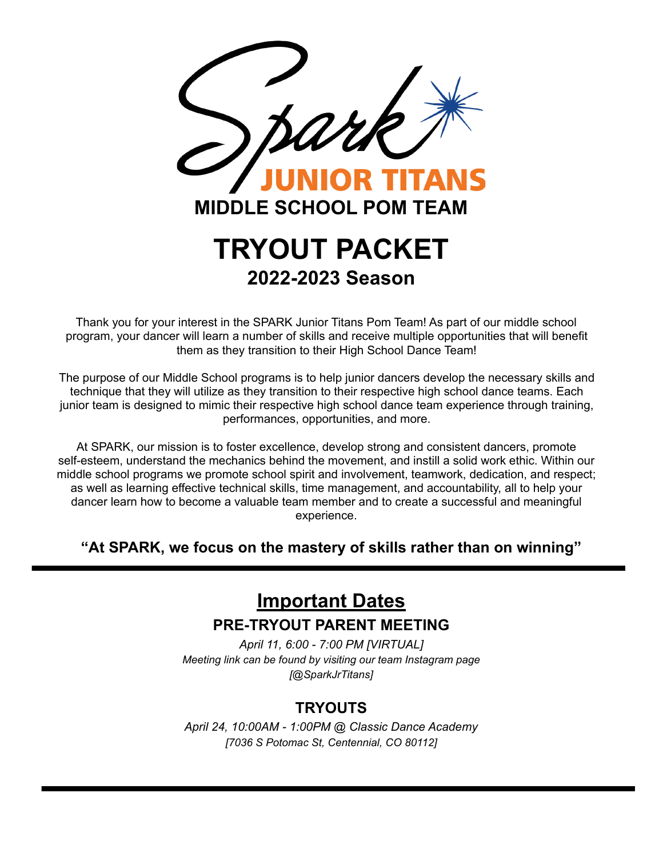

Thank you for your interest in the SPARK Junior Titans Pom Team! As part of our middle school program, your dancer will learn a number of skills and receive multiple opportunities that will benefit them as they transition to their High School Dance Team!

The purpose of our Middle School programs is to help junior dancers develop the necessary skills and technique that they will utilize as they transition to their respective high school dance teams. Each junior team is designed to mimic their respective high school dance team experience through training, performances, opportunities, and more.

At SPARK, our mission is to foster excellence, develop strong and consistent dancers, promote self-esteem, understand the mechanics behind the movement, and instill a solid work ethic. Within our middle school programs we promote school spirit and involvement, teamwork, dedication, and respect; as well as learning effective technical skills, time management, and accountability, all to help your dancer learn how to become a valuable team member and to create a successful and meaningful experience.

**"At SPARK, we focus on the mastery of skills rather than on winning"**

# **Important Dates**

### **PRE-TRYOUT PARENT MEETING**

*April 11, 6:00 - 7:00 PM [VIRTUAL] Meeting link can be found by visiting our team Instagram page [@SparkJrTitans]*

# **TRYOUTS**

*April 24, 10:00AM - 1:00PM @ Classic Dance Academy [7036 S Potomac St, Centennial, CO 80112]*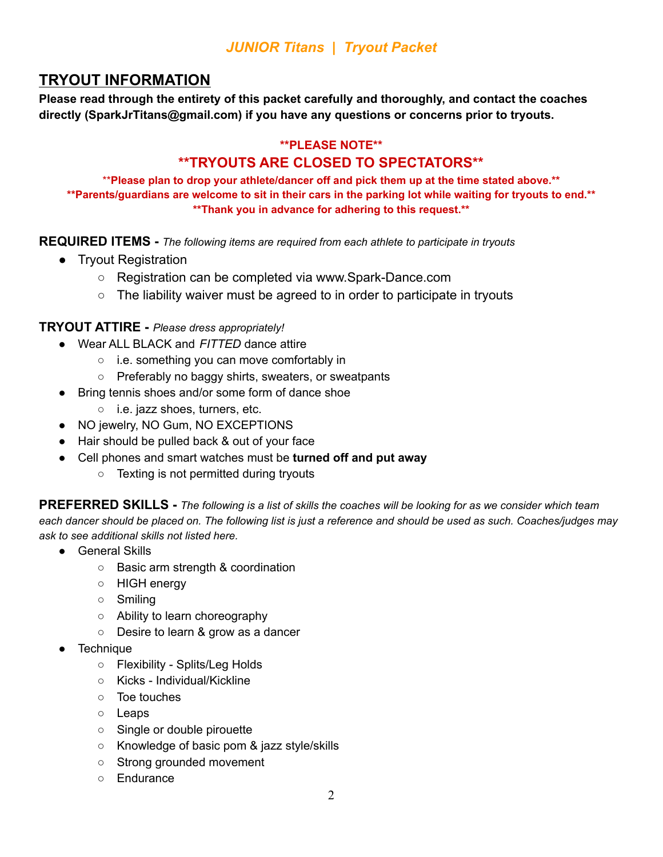# **TRYOUT INFORMATION**

**Please read through the entirety of this packet carefully and thoroughly, and contact the coaches directly (SparkJrTitans@gmail.com) if you have any questions or concerns prior to tryouts.**

#### **\*\*PLEASE NOTE\*\***

## **\*\*TRYOUTS ARE CLOSED TO SPECTATORS\*\***

\*\***Please plan to drop your athlete/dancer off and pick them up at the time stated above.\*\*** \*\* Parents/guardians are welcome to sit in their cars in the parking lot while waiting for tryouts to end.\*\* **\*\*Thank you in advance for adhering to this request.\*\***

**REQUIRED ITEMS -** *The following items are required from each athlete to participate in tryouts*

- Tryout Registration
	- Registration can be completed via www.Spark-Dance.com
	- The liability waiver must be agreed to in order to participate in tryouts

#### **TRYOUT ATTIRE -** *Please dress appropriately!*

- Wear ALL BLACK and *FITTED* dance attire
	- i.e. something you can move comfortably in
	- Preferably no baggy shirts, sweaters, or sweatpants
- Bring tennis shoes and/or some form of dance shoe
	- i.e. jazz shoes, turners, etc.
- NO jewelry, NO Gum, NO EXCEPTIONS
- Hair should be pulled back & out of your face
- Cell phones and smart watches must be **turned off and put away**
	- Texting is not permitted during tryouts

PREFERRED SKILLS - The following is a list of skills the coaches will be looking for as we consider which team each dancer should be placed on. The following list is just a reference and should be used as such. Coaches/judges may *ask to see additional skills not listed here.*

- General Skills
	- Basic arm strength & coordination
	- HIGH energy
	- Smiling
	- Ability to learn choreography
	- Desire to learn & grow as a dancer
- **Technique** 
	- Flexibility Splits/Leg Holds
	- Kicks Individual/Kickline
	- Toe touches
	- Leaps
	- Single or double pirouette
	- Knowledge of basic pom & jazz style/skills
	- Strong grounded movement
	- Endurance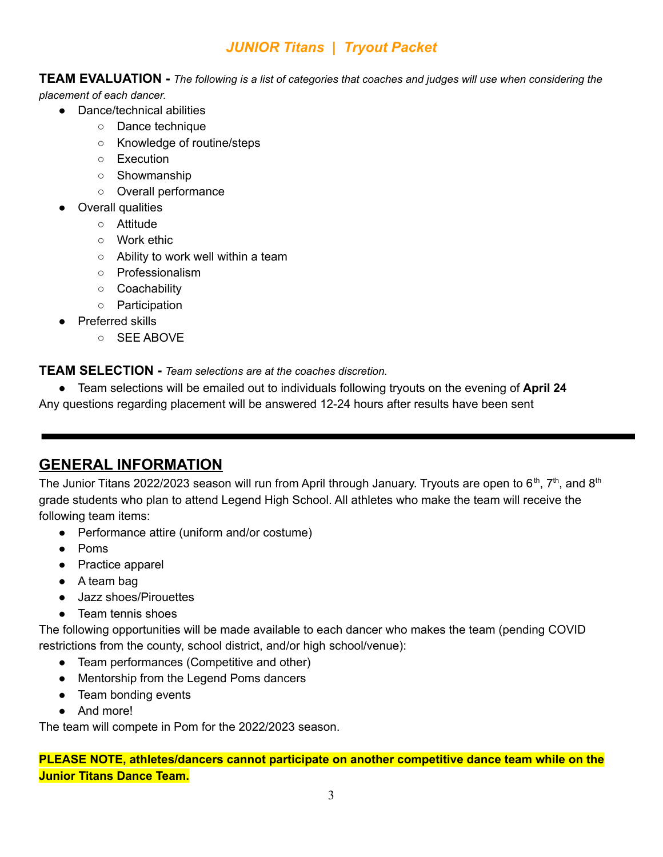**TEAM EVALUATION** - The following is a list of categories that coaches and judges will use when considering the

*placement of each dancer.*

- Dance/technical abilities
	- Dance technique
	- Knowledge of routine/steps
	- Execution
	- Showmanship
	- Overall performance
- **Overall qualities** 
	- Attitude
	- Work ethic
	- Ability to work well within a team
	- Professionalism
	- Coachability
	- Participation
- Preferred skills
	- SEE ABOVE

**TEAM SELECTION -** *Team selections are at the coaches discretion.*

● Team selections will be emailed out to individuals following tryouts on the evening of **April 24** Any questions regarding placement will be answered 12-24 hours after results have been sent

# **GENERAL INFORMATION**

The Junior Titans 2022/2023 season will run from April through January. Tryouts are open to 6<sup>th</sup>, 7<sup>th</sup>, and 8<sup>th</sup> grade students who plan to attend Legend High School. All athletes who make the team will receive the following team items:

- Performance attire (uniform and/or costume)
- Poms
- Practice apparel
- A team bag
- Jazz shoes/Pirouettes
- Team tennis shoes

The following opportunities will be made available to each dancer who makes the team (pending COVID restrictions from the county, school district, and/or high school/venue):

- Team performances (Competitive and other)
- Mentorship from the Legend Poms dancers
- Team bonding events
- And more!

The team will compete in Pom for the 2022/2023 season.

**PLEASE NOTE, athletes/dancers cannot participate on another competitive dance team while on the Junior Titans Dance Team.**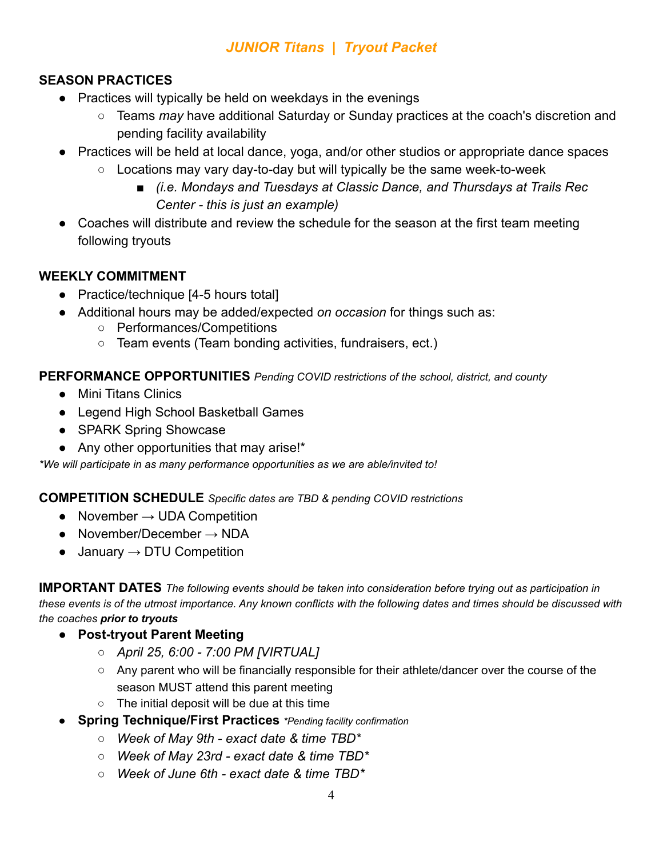### **SEASON PRACTICES**

- Practices will typically be held on weekdays in the evenings
	- Teams *may* have additional Saturday or Sunday practices at the coach's discretion and pending facility availability
- Practices will be held at local dance, yoga, and/or other studios or appropriate dance spaces
	- Locations may vary day-to-day but will typically be the same week-to-week
		- *(i.e. Mondays and Tuesdays at Classic Dance, and Thursdays at Trails Rec Center - this is just an example)*
- Coaches will distribute and review the schedule for the season at the first team meeting following tryouts

#### **WEEKLY COMMITMENT**

- Practice/technique [4-5 hours total]
- Additional hours may be added/expected *on occasion* for things such as:
	- Performances/Competitions
	- Team events (Team bonding activities, fundraisers, ect.)

#### **PERFORMANCE OPPORTUNITIES** *Pending COVID restrictions of the school, district, and county*

- Mini Titans Clinics
- Legend High School Basketball Games
- SPARK Spring Showcase
- Any other opportunities that may arise!\*

*\*We will participate in as many performance opportunities as we are able/invited to!*

#### **COMPETITION SCHEDULE** *Specific dates are TBD & pending COVID restrictions*

- November  $\rightarrow$  UDA Competition
- $\bullet$  November/December  $\rightarrow$  NDA
- $\bullet$  January  $\rightarrow$  DTU Competition

**IMPORTANT DATES** *The following events should be taken into consideration before trying out as participation in* these events is of the utmost importance. Any known conflicts with the following dates and times should be discussed with *the coaches prior to tryouts*

- **Post-tryout Parent Meeting**
	- *April 25, 6:00 7:00 PM [VIRTUAL]*
	- Any parent who will be financially responsible for their athlete/dancer over the course of the season MUST attend this parent meeting
	- The initial deposit will be due at this time
- **Spring Technique/First Practices** *\*Pending facility confirmation*
	- *○ Week of May 9th exact date & time TBD\**
	- *○ Week of May 23rd exact date & time TBD\**
	- *○ Week of June 6th exact date & time TBD\**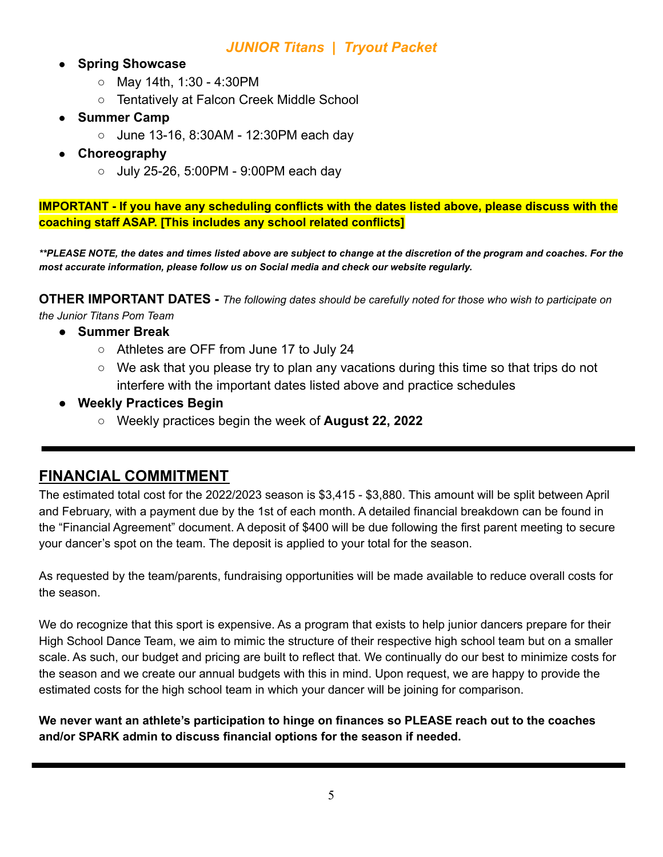- **Spring Showcase** 
	- May 14th, 1:30 4:30PM
	- Tentatively at Falcon Creek Middle School
- **Summer Camp** 
	- June 13-16, 8:30AM 12:30PM each day
- **Choreography**
	- July 25-26, 5:00PM 9:00PM each day

**IMPORTANT - If you have any scheduling conflicts with the dates listed above, please discuss with the coaching staff ASAP. [This includes any school related conflicts]**

*\*\*PLEASE NOTE, the dates and times listed above are subject to change at the discretion of the program and coaches. For the most accurate information, please follow us on Social media and check our website regularly.*

**OTHER IMPORTANT DATES -** *The following dates should be carefully noted for those who wish to participate on the Junior Titans Pom Team*

- **Summer Break**
	- Athletes are OFF from June 17 to July 24
	- We ask that you please try to plan any vacations during this time so that trips do not interfere with the important dates listed above and practice schedules
- **● Weekly Practices Begin**
	- Weekly practices begin the week of **August 22, 2022**

### **FINANCIAL COMMITMENT**

The estimated total cost for the 2022/2023 season is \$3,415 - \$3,880. This amount will be split between April and February, with a payment due by the 1st of each month. A detailed financial breakdown can be found in the "Financial Agreement" document. A deposit of \$400 will be due following the first parent meeting to secure your dancer's spot on the team. The deposit is applied to your total for the season.

As requested by the team/parents, fundraising opportunities will be made available to reduce overall costs for the season.

We do recognize that this sport is expensive. As a program that exists to help junior dancers prepare for their High School Dance Team, we aim to mimic the structure of their respective high school team but on a smaller scale. As such, our budget and pricing are built to reflect that. We continually do our best to minimize costs for the season and we create our annual budgets with this in mind. Upon request, we are happy to provide the estimated costs for the high school team in which your dancer will be joining for comparison.

**We never want an athlete's participation to hinge on finances so PLEASE reach out to the coaches and/or SPARK admin to discuss financial options for the season if needed.**